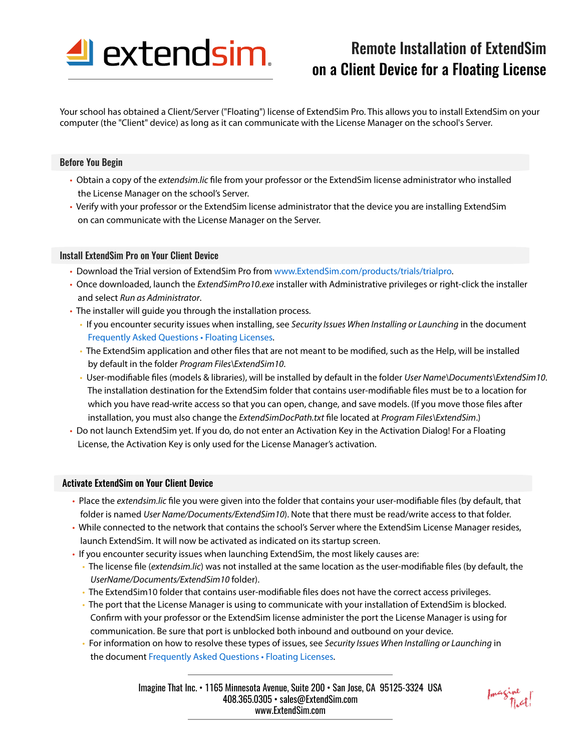

# Remote Installation of ExtendSim on a Client Device for a Floating License

Your school has obtained a Client/Server ("Floating") license of ExtendSim Pro. This allows you to install ExtendSim on your computer (the "Client" device) as long as it can communicate with the License Manager on the school's Server.

# Before You Begin

- Obtain a copy of the *extendsim.lic* file from your professor or the ExtendSim license administrator who installed the License Manager on the school's Server.
- Verify with your professor or the ExtendSim license administrator that the device you are installing ExtendSim on can communicate with the License Manager on the Server.

# Install ExtendSim Pro on Your Client Device

- Download the Trial version of ExtendSim Pro from www.ExtendSim.com/products/trials/trialpro.
- Once downloaded, launch the *ExtendSimPro10.exe* installer with Administrative privileges or right-click the installer and select *Run as Administrator*.
- The installer will guide you through the installation process.
	- If you encounter security issues when installing, see *Security Issues When Installing or Launching* in the document Frequently Asked Questions • Floating Licenses.
	- The ExtendSim application and other files that are not meant to be modified, such as the Help, will be installed by default in the folder *Program Files\ExtendSim10*.
	- User-modifiable files (models & libraries), will be installed by default in the folder *User Name*\Documents\ExtendSim10. The installation destination for the ExtendSim folder that contains user-modifiable files must be to a location for which you have read-write access so that you can open, change, and save models. (If you move those files after installation, you must also change the *ExtendSimDocPath.txt* file located at *Program Files\ExtendSim.*)
- Do not launch ExtendSim yet. If you do, do not enter an Activation Key in the Activation Dialog! For a Floating License, the Activation Key is only used for the License Manager's activation.

### Activate ExtendSim on Your Client Device

- Place the *extendsim.lic* file you were given into the folder that contains your user-modifiable files (by default, that folder is named *User Name/Documents/ExtendSim10*). Note that there must be read/write access to that folder.
- While connected to the network that contains the school's Server where the ExtendSim License Manager resides, launch ExtendSim. It will now be activated as indicated on its startup screen.
- If you encounter security issues when launching ExtendSim, the most likely causes are:
	- The license file (*extendsim.lic*) was not installed at the same location as the user-modifiable files (by default, the *UserName/Documents/ExtendSim10* folder).
	- The ExtendSim10 folder that contains user-modifiable files does not have the correct access privileges.
	- The port that the License Manager is using to communicate with your installation of ExtendSim is blocked. Confirm with your professor or the ExtendSim license administer the port the License Manager is using for communication. Be sure that port is unblocked both inbound and outbound on your device.
	- For information on how to resolve these types of issues, see *Security Issues When Installing or Launching* in the document Frequently Asked Questions • Floating Licenses.

Imagine That Inc. • 1165 Minnesota Avenue, Suite 200 • San Jose, CA 95125-3324 USA 408.365.0305 • sales@ExtendSim.com www.ExtendSim.com

Imagine<br>That!